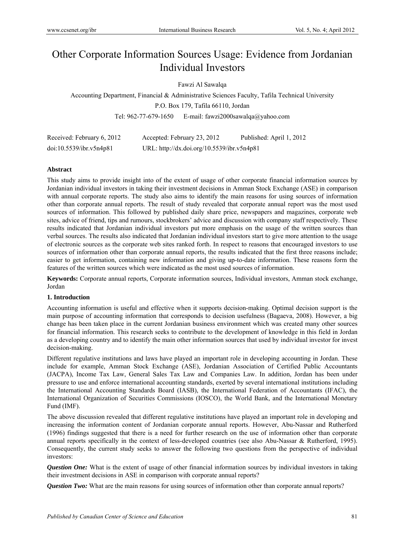# Other Corporate Information Sources Usage: Evidence from Jordanian Individual Investors

Fawzi Al Sawalqa

Accounting Department, Financial & Administrative Sciences Faculty, Tafila Technical University P.O. Box 179, Tafila 66110, Jordan Tel: 962-77-679-1650 E-mail: fawzi2000sawalqa@yahoo.com

| Received: February 6, 2012 | Accepted: February 23, 2012                | Published: April 1, 2012 |
|----------------------------|--------------------------------------------|--------------------------|
| doi:10.5539/ibr.v5n4p81    | URL: http://dx.doi.org/10.5539/ibr.v5n4p81 |                          |

#### **Abstract**

This study aims to provide insight into of the extent of usage of other corporate financial information sources by Jordanian individual investors in taking their investment decisions in Amman Stock Exchange (ASE) in comparison with annual corporate reports. The study also aims to identify the main reasons for using sources of information other than corporate annual reports. The result of study revealed that corporate annual report was the most used sources of information. This followed by published daily share price, newspapers and magazines, corporate web sites, advice of friend, tips and rumours, stockbrokers' advice and discussion with company staff respectively. These results indicated that Jordanian individual investors put more emphasis on the usage of the written sources than verbal sources. The results also indicated that Jordanian individual investors start to give more attention to the usage of electronic sources as the corporate web sites ranked forth. In respect to reasons that encouraged investors to use sources of information other than corporate annual reports, the results indicated that the first three reasons include; easier to get information, containing new information and giving up-to-date information. These reasons form the features of the written sources which were indicated as the most used sources of information.

**Keywords:** Corporate annual reports, Corporate information sources, Individual investors, Amman stock exchange, Jordan

#### **1. Introduction**

Accounting information is useful and effective when it supports decision-making. Optimal decision support is the main purpose of accounting information that corresponds to decision usefulness (Bagaeva, 2008). However, a big change has been taken place in the current Jordanian business environment which was created many other sources for financial information. This research seeks to contribute to the development of knowledge in this field in Jordan as a developing country and to identify the main other information sources that used by individual investor for invest decision-making.

Different regulative institutions and laws have played an important role in developing accounting in Jordan. These include for example, Amman Stock Exchange (ASE), Jordanian Association of Certified Public Accountants (JACPA), Income Tax Law, General Sales Tax Law and Companies Law. In addition, Jordan has been under pressure to use and enforce international accounting standards, exerted by several international institutions including the International Accounting Standards Board (IASB), the International Federation of Accountants (IFAC), the International Organization of Securities Commissions (IOSCO), the World Bank, and the International Monetary Fund (IMF).

The above discussion revealed that different regulative institutions have played an important role in developing and increasing the information content of Jordanian corporate annual reports. However, Abu-Nassar and Rutherford (1996) findings suggested that there is a need for further research on the use of information other than corporate annual reports specifically in the context of less-developed countries (see also Abu-Nassar & Rutherford, 1995). Consequently, the current study seeks to answer the following two questions from the perspective of individual investors:

*Question One:* What is the extent of usage of other financial information sources by individual investors in taking their investment decisions in ASE in comparison with corporate annual reports?

*Question Two:* What are the main reasons for using sources of information other than corporate annual reports?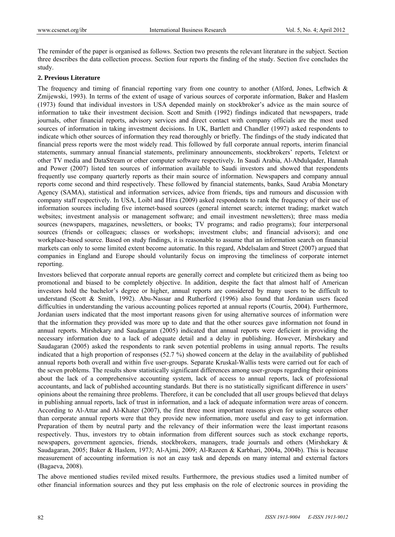The reminder of the paper is organised as follows. Section two presents the relevant literature in the subject. Section three describes the data collection process. Section four reports the finding of the study. Section five concludes the study.

#### **2. Previous Literature**

The frequency and timing of financial reporting vary from one country to another (Alford, Jones, Leftwich & Zmijewski, 1993). In terms of the extent of usage of various sources of corporate information, Baker and Haslem (1973) found that individual investors in USA depended mainly on stockbroker's advice as the main source of information to take their investment decision. Scott and Smith (1992) findings indicated that newspapers, trade journals, other financial reports, advisory services and direct contact with company officials are the most used sources of information in taking investment decisions. In UK, Bartlett and Chandler (1997) asked respondents to indicate which other sources of information they read thoroughly or briefly. The findings of the study indicated that financial press reports were the most widely read. This followed by full corporate annual reports, interim financial statements, summary annual financial statements, preliminary announcements, stockbrokers' reports, Teletext or other TV media and DataStream or other computer software respectively. In Saudi Arabia, Al-Abdulqader, Hannah and Power (2007) listed ten sources of information available to Saudi investors and showed that respondents frequently use company quarterly reports as their main source of information. Newspapers and company annual reports come second and third respectively. These followed by financial statements, banks, Saud Arabia Monetary Agency (SAMA), statistical and information services, advice from friends, tips and rumours and discussion with company staff respectively. In USA, Loibl and Hira (2009) asked respondents to rank the frequency of their use of information sources including five internet-based sources (general internet search; internet trading; market watch websites; investment analysis or management software; and email investment newsletters); three mass media sources (newspapers, magazines, newsletters, or books; TV programs; and radio programs); four interpersonal sources (friends or colleagues; classes or workshops; investment clubs; and financial advisors); and one workplace-based source. Based on study findings, it is reasonable to assume that an information search on financial markets can only to some limited extent become automatic. In this regard, Abdelsalam and Street (2007) argued that companies in England and Europe should voluntarily focus on improving the timeliness of corporate internet reporting.

Investors believed that corporate annual reports are generally correct and complete but criticized them as being too promotional and biased to be completely objective. In addition, despite the fact that almost half of American investors hold the bachelor's degree or higher, annual reports are considered by many users to be difficult to understand (Scott & Smith, 1992). Abu-Nassar and Rutherford (1996) also found that Jordanian users faced difficulties in understanding the various accounting polices reported at annual reports (Courtis, 2004). Furthermore, Jordanian users indicated that the most important reasons given for using alternative sources of information were that the information they provided was more up to date and that the other sources gave information not found in annual reports. Mirshekary and Saudagaran (2005) indicated that annual reports were deficient in providing the necessary information due to a lack of adequate detail and a delay in publishing. However, Mirshekary and Saudagaran (2005) asked the respondents to rank seven potential problems in using annual reports. The results indicated that a high proportion of responses (52.7 %) showed concern at the delay in the availability of published annual reports both overall and within five user-groups. Separate Kruskal-Wallis tests were carried out for each of the seven problems. The results show statistically significant differences among user-groups regarding their opinions about the lack of a comprehensive accounting system, lack of access to annual reports, lack of professional accountants, and lack of published accounting standards. But there is no statistically significant difference in users' opinions about the remaining three problems. Therefore, it can be concluded that all user groups believed that delays in publishing annual reports, lack of trust in information, and a lack of adequate information were areas of concern. According to Al-Attar and Al-Khater (2007), the first three most important reasons given for using sources other than corporate annual reports were that they provide new information, more useful and easy to get information. Preparation of them by neutral party and the relevancy of their information were the least important reasons respectively. Thus, investors try to obtain information from different sources such as stock exchange reports, newspapers, government agencies, friends, stockbrokers, managers, trade journals and others (Mirshekary & Saudagaran, 2005; Baker & Haslem, 1973; Al-Ajmi, 2009; Al-Razeen & Karbhari, 2004a, 2004b). This is because measurement of accounting information is not an easy task and depends on many internal and external factors (Bagaeva, 2008).

The above mentioned studies reviled mixed results. Furthermore, the previous studies used a limited number of other financial information sources and they put less emphasis on the role of electronic sources in providing the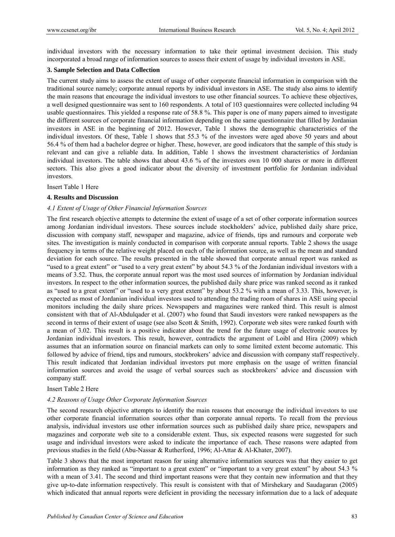individual investors with the necessary information to take their optimal investment decision. This study incorporated a broad range of information sources to assess their extent of usage by individual investors in ASE.

#### **3. Sample Selection and Data Collection**

The current study aims to assess the extent of usage of other corporate financial information in comparison with the traditional source namely; corporate annual reports by individual investors in ASE. The study also aims to identify the main reasons that encourage the individual investors to use other financial sources. To achieve these objectives, a well designed questionnaire was sent to 160 respondents. A total of 103 questionnaires were collected including 94 usable questionnaires. This yielded a response rate of 58.8 %. This paper is one of many papers aimed to investigate the different sources of corporate financial information depending on the same questionnaire that filled by Jordanian investors in ASE in the beginning of 2012. However, Table 1 shows the demographic characteristics of the individual investors. Of these, Table 1 shows that 55.3 % of the investors were aged above 50 years and about 56.4 % of them had a bachelor degree or higher. These, however, are good indicators that the sample of this study is relevant and can give a reliable data. In addition, Table 1 shows the investment characteristics of Jordanian individual investors. The table shows that about 43.6 % of the investors own 10 000 shares or more in different sectors. This also gives a good indicator about the diversity of investment portfolio for Jordanian individual investors.

Insert Table 1 Here

#### **4. Results and Discussion**

#### *4.1 Extent of Usage of Other Financial Information Sources*

The first research objective attempts to determine the extent of usage of a set of other corporate information sources among Jordanian individual investors. These sources include stockholders' advice, published daily share price, discussion with company staff, newspaper and magazine, advice of friends, tips and rumours and corporate web sites. The investigation is mainly conducted in comparison with corporate annual reports. Table 2 shows the usage frequency in terms of the relative weight placed on each of the information source, as well as the mean and standard deviation for each source. The results presented in the table showed that corporate annual report was ranked as "used to a great extent" or "used to a very great extent" by about 54.3 % of the Jordanian individual investors with a means of 3.52. Thus, the corporate annual report was the most used sources of information by Jordanian individual investors. In respect to the other information sources, the published daily share price was ranked second as it ranked as "used to a great extent" or "used to a very great extent" by about 53.2 % with a mean of 3.33. This, however, is expected as most of Jordanian individual investors used to attending the trading room of shares in ASE using special monitors including the daily share prices. Newspapers and magazines were ranked third. This result is almost consistent with that of Al-Abdulqader et al. (2007) who found that Saudi investors were ranked newspapers as the second in terms of their extent of usage (see also Scott & Smith, 1992). Corporate web sites were ranked fourth with a mean of 3.02. This result is a positive indicator about the trend for the future usage of electronic sources by Jordanian individual investors. This result, however, contradicts the argument of Loibl and Hira (2009) which assumes that an information source on financial markets can only to some limited extent become automatic. This followed by advice of friend, tips and rumours, stockbrokers' advice and discussion with company staff respectively. This result indicated that Jordanian individual investors put more emphasis on the usage of written financial information sources and avoid the usage of verbal sources such as stockbrokers' advice and discussion with company staff.

#### Insert Table 2 Here

#### *4.2 Reasons of Usage Other Corporate Information Sources*

The second research objective attempts to identify the main reasons that encourage the individual investors to use other corporate financial information sources other than corporate annual reports. To recall from the previous analysis, individual investors use other information sources such as published daily share price, newspapers and magazines and corporate web site to a considerable extent. Thus, six expected reasons were suggested for such usage and individual investors were asked to indicate the importance of each. These reasons were adapted from previous studies in the field (Abu-Nassar & Rutherford, 1996; Al-Attar & Al-Khater, 2007).

Table 3 shows that the most important reason for using alternative information sources was that they easier to get information as they ranked as "important to a great extent" or "important to a very great extent" by about 54.3 % with a mean of 3.41. The second and third important reasons were that they contain new information and that they give up-to-date information respectively. This result is consistent with that of Mirshekary and Saudagaran (2005) which indicated that annual reports were deficient in providing the necessary information due to a lack of adequate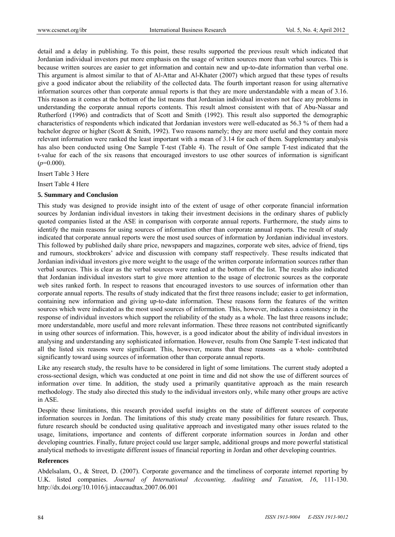detail and a delay in publishing. To this point, these results supported the previous result which indicated that Jordanian individual investors put more emphasis on the usage of written sources more than verbal sources. This is because written sources are easier to get information and contain new and up-to-date information than verbal one. This argument is almost similar to that of Al-Attar and Al-Khater (2007) which argued that these types of results give a good indicator about the reliability of the collected data. The fourth important reason for using alternative information sources other than corporate annual reports is that they are more understandable with a mean of 3.16. This reason as it comes at the bottom of the list means that Jordanian individual investors not face any problems in understanding the corporate annual reports contents. This result almost consistent with that of Abu-Nassar and Rutherford (1996) and contradicts that of Scott and Smith (1992). This result also supported the demographic characteristics of respondents which indicated that Jordanian investors were well-educated as 56.3 % of them had a bachelor degree or higher (Scott & Smith, 1992). Two reasons namely; they are more useful and they contain more relevant information were ranked the least important with a mean of 3.14 for each of them. Supplementary analysis has also been conducted using One Sample T-test (Table 4). The result of One sample T-test indicated that the t-value for each of the six reasons that encouraged investors to use other sources of information is significant  $(p=0.000)$ .

Insert Table 3 Here

Insert Table 4 Here

#### **5. Summary and Conclusion**

This study was designed to provide insight into of the extent of usage of other corporate financial information sources by Jordanian individual investors in taking their investment decisions in the ordinary shares of publicly quoted companies listed at the ASE in comparison with corporate annual reports. Furthermore, the study aims to identify the main reasons for using sources of information other than corporate annual reports. The result of study indicated that corporate annual reports were the most used sources of information by Jordanian individual investors. This followed by published daily share price, newspapers and magazines, corporate web sites, advice of friend, tips and rumours, stockbrokers' advice and discussion with company staff respectively. These results indicated that Jordanian individual investors give more weight to the usage of the written corporate information sources rather than verbal sources. This is clear as the verbal sources were ranked at the bottom of the list. The results also indicated that Jordanian individual investors start to give more attention to the usage of electronic sources as the corporate web sites ranked forth. In respect to reasons that encouraged investors to use sources of information other than corporate annual reports. The results of study indicated that the first three reasons include; easier to get information, containing new information and giving up-to-date information. These reasons form the features of the written sources which were indicated as the most used sources of information. This, however, indicates a consistency in the response of individual investors which support the reliability of the study as a whole. The last three reasons include; more understandable, more useful and more relevant information. These three reasons not contributed significantly in using other sources of information. This, however, is a good indicator about the ability of individual investors in analysing and understanding any sophisticated information. However, results from One Sample T-test indicated that all the listed six reasons were significant. This, however, means that these reasons -as a whole- contributed significantly toward using sources of information other than corporate annual reports.

Like any research study, the results have to be considered in light of some limitations. The current study adopted a cross-sectional design, which was conducted at one point in time and did not show the use of different sources of information over time. In addition, the study used a primarily quantitative approach as the main research methodology. The study also directed this study to the individual investors only, while many other groups are active in ASE.

Despite these limitations, this research provided useful insights on the state of different sources of corporate information sources in Jordan. The limitations of this study create many possibilities for future research. Thus, future research should be conducted using qualitative approach and investigated many other issues related to the usage, limitations, importance and contents of different corporate information sources in Jordan and other developing countries. Finally, future project could use larger sample, additional groups and more powerful statistical analytical methods to investigate different issues of financial reporting in Jordan and other developing countries.

#### **References**

Abdelsalam, O., & Street, D. (2007). Corporate governance and the timeliness of corporate internet reporting by U.K. listed companies. *Journal of International Accounting, Auditing and Taxation, 16*, 111-130. http://dx.doi.org/10.1016/j.intaccaudtax.2007.06.001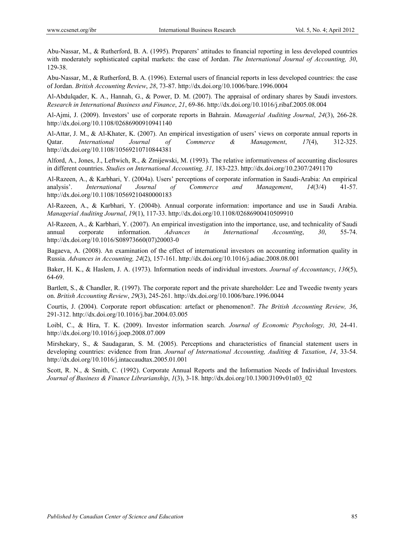Abu-Nassar, M., & Rutherford, B. A. (1995). Preparers' attitudes to financial reporting in less developed countries with moderately sophisticated capital markets: the case of Jordan. *The International Journal of Accounting, 30*, 129-38.

Abu-Nassar, M., & Rutherford, B. A. (1996). External users of financial reports in less developed countries: the case of Jordan. *British Accounting Review*, *28*, 73-87. http://dx.doi.org/10.1006/bare.1996.0004

Al-Abdulqader, K. A., Hannah, G., & Power, D. M. (2007). The appraisal of ordinary shares by Saudi investors. *Research in International Business and Finance*, *21*, 69-86. http://dx.doi.org/10.1016/j.ribaf.2005.08.004

Al-Ajmi, J. (2009). Investors' use of corporate reports in Bahrain. *Managerial Auditing Journal*, *24*(3), 266-28. http://dx.doi.org/10.1108/02686900910941140

Al-Attar, J. M., & Al-Khater, K. (2007). An empirical investigation of users' views on corporate annual reports in Qatar. *International Journal of Commerce & Management*, *17*(4), 312-325. http://dx.doi.org/10.1108/10569210710844381

Alford, A., Jones, J., Leftwich, R., & Zmijewski, M. (1993). The relative informativeness of accounting disclosures in different countries. *Studies on International Accounting, 31,* 183-223. http://dx.doi.org/10.2307/2491170

Al-Razeen, A., & Karbhari, Y. (2004a). Users' perceptions of corporate information in Saudi-Arabia: An empirical analysis'. *International Journal of Commerce and Management*, *14*(3/4) 41-57. http://dx.doi.org/10.1108/10569210480000183

Al-Razeen, A., & Karbhari, Y. (2004b). Annual corporate information: importance and use in Saudi Arabia. *Managerial Auditing Journal*, *19*(1), 117-33. http://dx.doi.org/10.1108/02686900410509910

Al-Razeen, A., & Karbhari, Y. (2007). An empirical investigation into the importance, use, and technicality of Saudi annual corporate information. *Advances in International Accounting*, *30*, 55-74. http://dx.doi.org/10.1016/S08973660(07)20003-0

Bagaeva, A. (2008). An examination of the effect of international investors on accounting information quality in Russia. *Advances in Accounting, 24*(2), 157-161. http://dx.doi.org/10.1016/j.adiac.2008.08.001

Baker, H. K., & Haslem, J. A. (1973). Information needs of individual investors. *Journal of Accountancy*, *136*(5), 64-69.

Bartlett, S., & Chandler, R. (1997). The corporate report and the private shareholder: Lee and Tweedie twenty years on. *British Accounting Review*, *29*(3), 245-261. http://dx.doi.org/10.1006/bare.1996.0044

Courtis, J. (2004). Corporate report obfuscation: artefact or phenomenon?. *The British Accounting Review, 36*, 291-312. http://dx.doi.org/10.1016/j.bar.2004.03.005

Loibl, C., & Hira, T. K. (2009). Investor information search. *Journal of Economic Psychology, 30*, 24-41. http://dx.doi.org/10.1016/j.joep.2008.07.009

Mirshekary, S., & Saudagaran, S. M. (2005). Perceptions and characteristics of financial statement users in developing countries: evidence from Iran. *Journal of International Accounting, Auditing & Taxation*, *14*, 33-54. http://dx.doi.org/10.1016/j.intaccaudtax.2005.01.001

Scott, R. N., & Smith, C. (1992). Corporate Annual Reports and the Information Needs of Individual Investors*. Journal of Business & Finance Librarianship*, *1*(3), 3-18. http://dx.doi.org/10.1300/J109v01n03\_02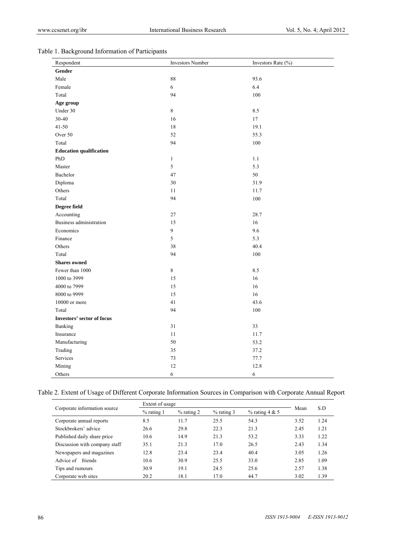## Table 1. Background Information of Participants

| Respondent                     | <b>Investors Number</b> | Investors Rate (%) |
|--------------------------------|-------------------------|--------------------|
| Gender                         |                         |                    |
| Male                           | $\bf 88$                | 93.6               |
| Female                         | 6                       | 6.4                |
| Total                          | 94                      | 100                |
| Age group                      |                         |                    |
| Under 30                       | $\,8\,$                 | 8.5                |
| 30-40                          | 16                      | $17\,$             |
| $41 - 50$                      | 18                      | 19.1               |
| Over 50                        | 52                      | 55.3               |
| Total                          | 94                      | $100\,$            |
| <b>Education qualification</b> |                         |                    |
| PhD                            | $\mathbf{1}$            | $1.1\,$            |
| Master                         | 5                       | 5.3                |
| Bachelor                       | 47                      | 50                 |
| Diploma                        | 30                      | 31.9               |
| Others                         | $1\,1$                  | 11.7               |
| Total                          | 94                      | $100\,$            |
| Degree field                   |                         |                    |
| Accounting                     | 27                      | 28.7               |
| Business administration        | 15                      | 16                 |
| Economics                      | 9                       | 9.6                |
| Finance                        | 5                       | 5.3                |
| Others                         | 38                      | 40.4               |
| Total                          | 94                      | $100\,$            |
| <b>Shares</b> owned            |                         |                    |
| Fewer than 1000                | $\,8\,$                 | 8.5                |
| 1000 to 3999                   | 15                      | 16                 |
| 4000 to 7999                   | 15                      | $16\,$             |
| 8000 to 9999                   | 15                      | 16                 |
| 10000 or more                  | 41                      | 43.6               |
| Total                          | 94                      | 100                |
| Investors' sector of focus     |                         |                    |
| Banking                        | 31                      | 33                 |
| Insurance                      | 11                      | 11.7               |
| Manufacturing                  | 50                      | 53.2               |
| Trading                        | 35                      | 37.2               |
| Services                       | 73                      | 77.7               |
| Mining                         | 12                      | 12.8               |
| Others                         | $\sqrt{6}$              | 6                  |

### Table 2. Extent of Usage of Different Corporate Information Sources in Comparison with Corporate Annual Report

| Corporate information source  | Extent of usage |              |              |                  |      | S.D  |
|-------------------------------|-----------------|--------------|--------------|------------------|------|------|
|                               | $%$ rating 1    | $%$ rating 2 | $%$ rating 3 | $%$ rating 4 & 5 | Mean |      |
| Corporate annual reports      | 8.5             | 11.7         | 25.5         | 54.3             | 3.52 | 1.24 |
| Stockbrokers' advice          | 26.6            | 29.8         | 22.3         | 21.3             | 2.45 | 1.21 |
| Published daily share price   | 10.6            | 14.9         | 21.3         | 53.2             | 3.33 | 1.22 |
| Discussion with company staff | 35.1            | 21.3         | 17.0         | 26.5             | 2.43 | 1.34 |
| Newspapers and magazines      | 12.8            | 23.4         | 23.4         | 40.4             | 3.05 | 1.26 |
| Advice of friends             | 10.6            | 30.9         | 25.5         | 33.0             | 2.85 | 1.09 |
| Tips and rumours              | 30.9            | 19.1         | 24.5         | 25.6             | 2.57 | 1.38 |
| Corporate web sites           | 20.2            | 18.1         | 17.0         | 44.7             | 3.02 | 1.39 |